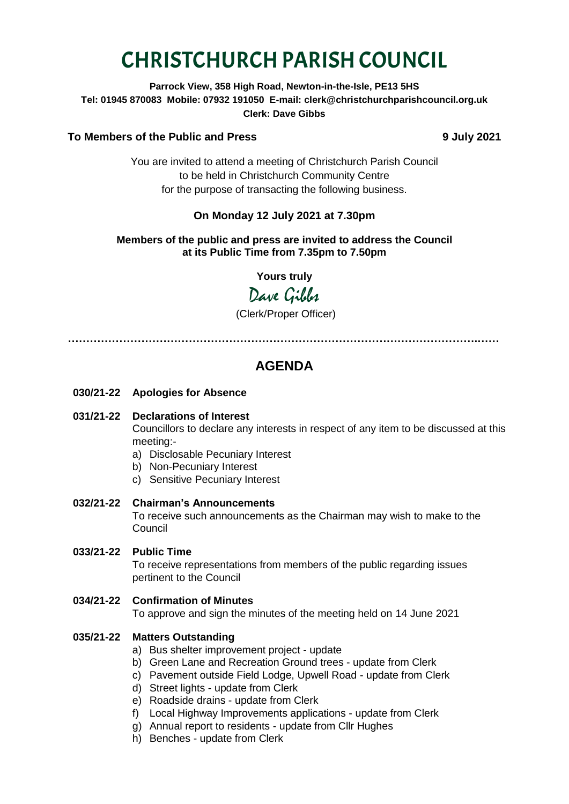# CHRISTCHURCH PARISH COUNCIL

**Parrock View, 358 High Road, Newton-in-the-Isle, PE13 5HS Tel: 01945 870083 Mobile: 07932 191050 E-mail: clerk@christchurchparishcouncil.org.uk Clerk: Dave Gibbs**

#### **To Members of the Public and Press 9 July 2021**

You are invited to attend a meeting of Christchurch Parish Council to be held in Christchurch Community Centre for the purpose of transacting the following business.

### **On Monday 12 July 2021 at 7.30pm**

#### **Members of the public and press are invited to address the Council at its Public Time from 7.35pm to 7.50pm**

**Yours truly**

Dave Gilber

(Clerk/Proper Officer)

**………………………………………………………………………………………………….……**

## **AGENDA**

- **030/21-22 Apologies for Absence**
- **031/21-22 Declarations of Interest**

Councillors to declare any interests in respect of any item to be discussed at this meeting:-

- a) Disclosable Pecuniary Interest
- b) Non-Pecuniary Interest
- c) Sensitive Pecuniary Interest
- **032/21-22 Chairman's Announcements**

To receive such announcements as the Chairman may wish to make to the Council

**033/21-22 Public Time**

To receive representations from members of the public regarding issues pertinent to the Council

#### **034/21-22 Confirmation of Minutes**

To approve and sign the minutes of the meeting held on 14 June 2021

#### **035/21-22 Matters Outstanding**

- a) Bus shelter improvement project update
- b) Green Lane and Recreation Ground trees update from Clerk
- c) Pavement outside Field Lodge, Upwell Road update from Clerk
- d) Street lights update from Clerk
- e) Roadside drains update from Clerk
- f) Local Highway Improvements applications update from Clerk
- g) Annual report to residents update from Cllr Hughes
- h) Benches update from Clerk